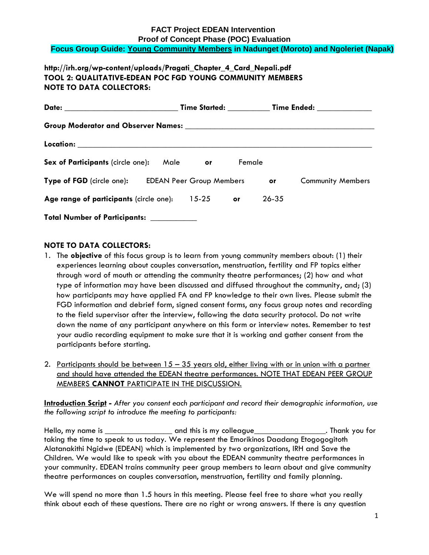## **FACT Project EDEAN Intervention Proof of Concept Phase (POC) Evaluation Focus Group Guide: Young Community Members in Nadunget (Moroto) and Ngoleriet (Napak)**

# **http://irh.org/wp-content/uploads/Pragati\_Chapter\_4\_Card\_Nepali.pdf TOOL 2: QUALITATIVE-EDEAN POC FGD YOUNG COMMUNITY MEMBERS NOTE TO DATA COLLECTORS:**

|                                                    |  |                |        |                          | Time Started: ____________ Time Ended: _____________ |  |
|----------------------------------------------------|--|----------------|--------|--------------------------|------------------------------------------------------|--|
|                                                    |  |                |        |                          |                                                      |  |
|                                                    |  |                |        |                          |                                                      |  |
| Sex of Participants (circle one):                  |  | Male <b>or</b> | Female |                          |                                                      |  |
| Type of FGD (circle one): EDEAN Peer Group Members |  |                | or     | <b>Community Members</b> |                                                      |  |
| Age range of participants (circle one): 15-25      |  |                | or.    | 26-35                    |                                                      |  |
| Total Number of Participants: __________           |  |                |        |                          |                                                      |  |

## **NOTE TO DATA COLLECTORS:**

- 1. The **objective** of this focus group is to learn from young community members about: (1) their experiences learning about couples conversation, menstruation, fertility and FP topics either through word of mouth or attending the community theatre performances; (2) how and what type of information may have been discussed and diffused throughout the community, and; (3) how participants may have applied FA and FP knowledge to their own lives. Please submit the FGD information and debrief form, signed consent forms, any focus group notes and recording to the field supervisor after the interview, following the data security protocol. Do not write down the name of any participant anywhere on this form or interview notes. Remember to test your audio recording equipment to make sure that it is working and gather consent from the participants before starting.
- 2. Participants should be between  $15 35$  years old, either living with or in union with a partner and should have attended the EDEAN theatre performances. NOTE THAT EDEAN PEER GROUP MEMBERS **CANNOT** PARTICIPATE IN THE DISCUSSION.

**Introduction Script -** *After you consent each participant and record their demographic information, use the following script to introduce the meeting to participants:*

Hello, my name is \_\_\_\_\_\_\_\_\_\_\_\_\_\_\_\_ and this is my colleague\_\_\_\_\_\_\_\_\_\_\_\_\_\_\_\_\_. Thank you for taking the time to speak to us today. We represent the Emorikinos Daadang Etogogogitoth Alatanakithi Ngidwe (EDEAN) which is implemented by two organizations, IRH and Save the Children. We would like to speak with you about the EDEAN community theatre performances in your community. EDEAN trains community peer group members to learn about and give community theatre performances on couples conversation, menstruation, fertility and family planning.

We will spend no more than 1.5 hours in this meeting. Please feel free to share what you really think about each of these questions. There are no right or wrong answers. If there is any question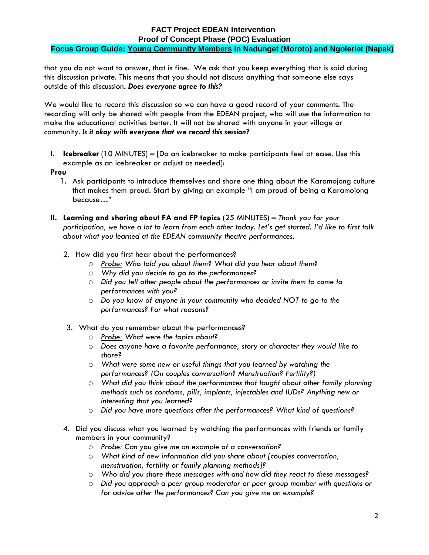# **FACT Project EDEAN Intervention Proof of Concept Phase (POC) Evaluation Focus Group Guide: Young Community Members in Nadunget (Moroto) and Ngoleriet (Napak)**

that you do not want to answer, that is fine. We ask that you keep everything that is said during this discussion private. This means that you should not discuss anything that someone else says outside of this discussion**.** *Does everyone agree to this?*

We would like to record this discussion so we can have a good record of your comments. The recording will only be shared with people from the EDEAN project, who will use the information to make the educational activities better. It will not be shared with anyone in your village or community. *Is it okay with everyone that we record this session?*

**I. Icebreaker** (10 MINUTES) **– [**Do an icebreaker to make participants feel at ease. Use this example as an icebreaker or adjust as needed]:

#### **Prou**

- 1. Ask participants to introduce themselves and share one thing about the Karamojong culture that makes them proud. Start by giving an example "I am proud of being a Karamojong because…"
- **II. Learning and sharing about FA and FP topics** (25 MINUTES) **–** *Thank you for your participation, we have a lot to learn from each other today. Let's get started. I'd like to first talk about what you learned at the EDEAN community theatre performances.*
	- 2. How did you first hear about the performances?
		- o *Probe: Who told you about them? What did you hear about them?*
		- o *Why did you decide to go to the performances?*
		- o *Did you tell other people about the performances or invite them to come to performances with you?*
		- o *Do you know of anyone in your community who decided NOT to go to the performances? For what reasons?*
	- 3. What do you remember about the performances?
		- o *Probe: What were the topics about?*
		- o *Does anyone have a favorite performance, story or character they would like to share?*
		- o *What were some new or useful things that you learned by watching the performances? (On couples conversation? Menstruation? Fertility?)*
		- o *What did you think about the performances that taught about other family planning methods such as condoms, pills, implants, injectables and IUDs? Anything new or interesting that you learned?*
		- o *Did you have more questions after the performances? What kind of questions?*
	- 4. Did you discuss what you learned by watching the performances with friends or family members in your community?
		- o *Probe: Can you give me an example of a conversation?*
		- o *What kind of new information did you share about [couples conversation, menstruation, fertility or family planning methods]?*
		- o *Who did you share these messages with and how did they react to these messages?*
		- o *Did you approach a peer group moderator or peer group member with questions or for advice after the performances? Can you give me an example?*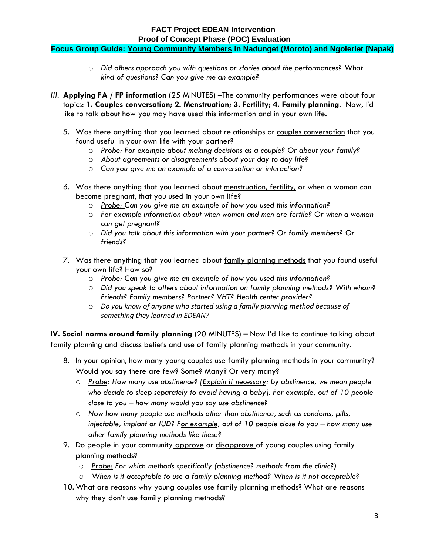## **FACT Project EDEAN Intervention Proof of Concept Phase (POC) Evaluation Focus Group Guide: Young Community Members in Nadunget (Moroto) and Ngoleriet (Napak)**

- o *Did others approach you with questions or stories about the performances? What kind of questions? Can you give me an example?*
- *III.* **Applying FA / FP information** (25 MINUTES) **–**The community performances were about four topics: **1. Couples conversation; 2. Menstruation; 3. Fertility; 4. Family planning**. Now, I'd like to talk about how you may have used this information and in your own life.
	- 5. Was there anything that you learned about relationships or couples conversation that you found useful in your own life with your partner?
		- o *Probe: For example about making decisions as a couple? Or about your family?*
		- o *About agreements or disagreements about your day to day life?*
		- o *Can you give me an example of a conversation or interaction?*
	- *6.* Was there anything that you learned about menstruation, fertility, or when a woman can become pregnant, that you used in your own life?
		- o *Probe: Can you give me an example of how you used this information?*
		- o *For example information about when women and men are fertile? Or when a woman can get pregnant?*
		- o *Did you talk about this information with your partner? Or family members? Or friends?*
	- 7. Was there anything that you learned about family planning methods that you found useful your own life? How so?
		- o *Probe: Can you give me an example of how you used this information?*
		- o *Did you speak to others about information on family planning methods? With whom? Friends? Family members? Partner? VHT? Health center provider?*
		- o *Do you know of anyone who started using a family planning method because of something they learned in EDEAN?*

**IV. Social norms around family planning** (20 MINUTES) **–** Now I'd like to continue talking about family planning and discuss beliefs and use of family planning methods in your community.

- 8. In your opinion, how many young couples use family planning methods in your community? Would you say there are few? Some? Many? Or very many?
	- o *Probe: How many use abstinence? [Explain if necessary: by abstinence, we mean people who decide to sleep separately to avoid having a baby]. For example, out of 10 people close to you – how many would you say use abstinence?*
	- o *Now how many people use methods other than abstinence, such as condoms, pills, injectable, implant or IUD? For example, out of 10 people close to you – how many use other family planning methods like these?*
- 9. Do people in your community approve or disapprove of young couples using family planning methods?
	- o *Probe: For which methods specifically (abstinence? methods from the clinic?)*
	- o *When is it acceptable to use a family planning method? When is it not acceptable?*
- 10. What are reasons why young couples use family planning methods? What are reasons why they don't use family planning methods?